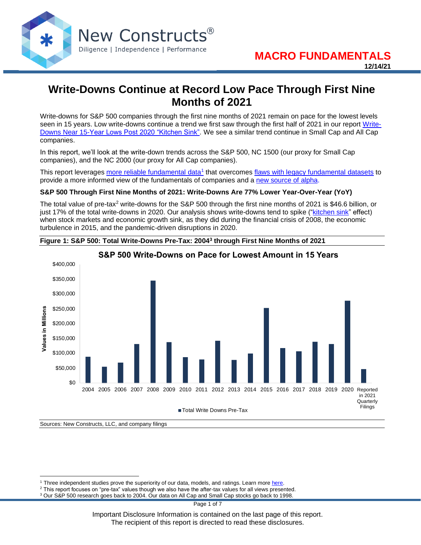

# **Write-Downs Continue at Record Low Pace Through First Nine Months of 2021**

Write-downs for S&P 500 companies through the first nine months of 2021 remain on pace for the lowest levels seen in 15 years. Low write-downs continue a trend we first saw through the first half of 2021 in our report [Write-](https://www.newconstructs.com/write-downs-near-15-year-lows-post-2020-kitchen-sink/)[Downs Near 15-Year Lows Post 2020 "Kitchen Sink".](https://www.newconstructs.com/write-downs-near-15-year-lows-post-2020-kitchen-sink/) We see a similar trend continue in Small Cap and All Cap companies.

In this report, we'll look at the write-down trends across the S&P 500, NC 1500 (our proxy for Small Cap companies), and the NC 2000 (our proxy for All Cap companies).

This report leverages [more reliable fundamental data](https://www.newconstructs.com/its-official-we-offer-the-best-fundamental-data-in-the-world/)<sup>1</sup> that overcomes [flaws with legacy fundamental datasets](https://www.newconstructs.com/evidence-on-the-superiority-of-our-earnings-data/) to provide a more informed view of the fundamentals of companies and a [new source of alpha.](https://www.newconstructs.com/alpha-from-earnings-distortion/)

#### **S&P 500 Through First Nine Months of 2021: Write-Downs Are 77% Lower Year-Over-Year (YoY)**

The total value of pre-tax<sup>2</sup> write-downs for the S&P 500 through the first nine months of 2021 is \$46.6 billion, or just 17% of the total write-downs in 2020. Our analysis shows write-downs tend to spike (["kitchen sink"](https://www.bbc.com/news/magazine-32412594) effect) when stock markets and economic growth sink, as they did during the financial crisis of 2008, the economic turbulence in 2015, and the pandemic-driven disruptions in 2020.





# **S&P 500 Write-Downs on Pace for Lowest Amount in 15 Years**

Sources: New Constructs, LLC, and company filings

Important Disclosure Information is contained on the last page of this report. The recipient of this report is directed to read these disclosures.

<sup>&</sup>lt;sup>1</sup> Three independent studies prove the superiority of our data, models, and ratings. Learn more [here.](https://www.newconstructs.com/proof-of-the-superiority-of-our-data-models-ratings/)

 $2$  This report focuses on "pre-tax" values though we also have the after-tax values for all views presented.

<sup>&</sup>lt;sup>3</sup> Our S&P 500 research goes back to 2004. Our data on All Cap and Small Cap stocks go back to 1998.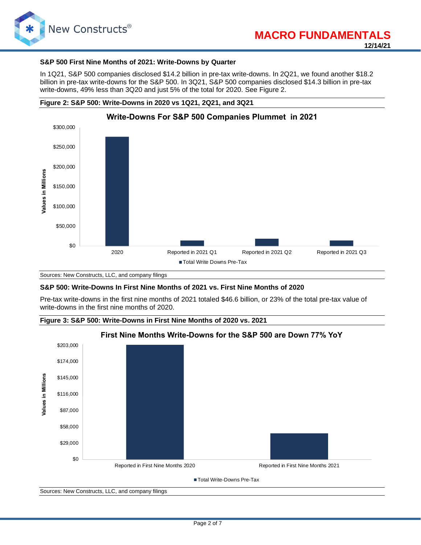

#### **S&P 500 First Nine Months of 2021: Write-Downs by Quarter**

In 1Q21, S&P 500 companies disclosed \$14.2 billion in pre-tax write-downs. In 2Q21, we found another \$18.2 billion in pre-tax write-downs for the S&P 500. In 3Q21, S&P 500 companies disclosed \$14.3 billion in pre-tax write-downs, 49% less than 3Q20 and just 5% of the total for 2020. See Figure 2.



**Figure 2: S&P 500: Write-Downs in 2020 vs 1Q21, 2Q21, and 3Q21**



#### **S&P 500: Write-Downs In First Nine Months of 2021 vs. First Nine Months of 2020**

Pre-tax write-downs in the first nine months of 2021 totaled \$46.6 billion, or 23% of the total pre-tax value of write-downs in the first nine months of 2020.



Sources: New Constructs, LLC, and company filings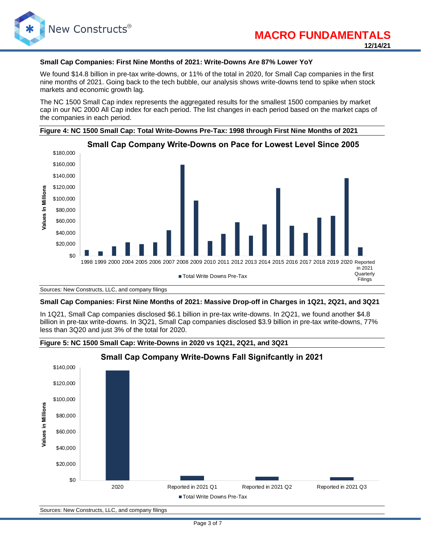

#### **Small Cap Companies: First Nine Months of 2021: Write-Downs Are 87% Lower YoY**

We found \$14.8 billion in pre-tax write-downs, or 11% of the total in 2020, for Small Cap companies in the first nine months of 2021. Going back to the tech bubble, our analysis shows write-downs tend to spike when stock markets and economic growth lag.

The NC 1500 Small Cap index represents the aggregated results for the smallest 1500 companies by market cap in our NC 2000 All Cap index for each period. The list changes in each period based on the market caps of the companies in each period.





Sources: New Constructs, LLC, and company filings

#### **Small Cap Companies: First Nine Months of 2021: Massive Drop-off in Charges in 1Q21, 2Q21, and 3Q21**

In 1Q21, Small Cap companies disclosed \$6.1 billion in pre-tax write-downs. In 2Q21, we found another \$4.8 billion in pre-tax write-downs. In 3Q21, Small Cap companies disclosed \$3.9 billion in pre-tax write-downs, 77% less than 3Q20 and just 3% of the total for 2020.

**Figure 5: NC 1500 Small Cap: Write-Downs in 2020 vs 1Q21, 2Q21, and 3Q21**



Sources: New Constructs, LLC, and company filings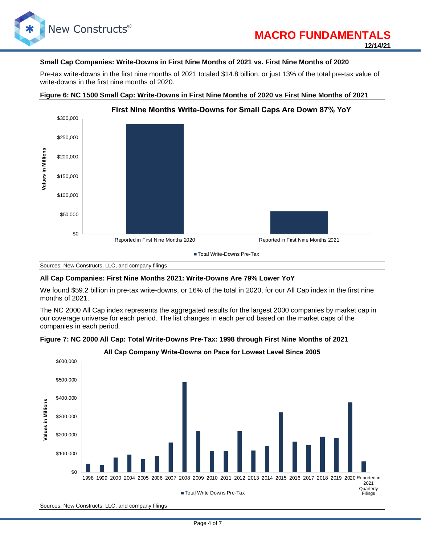

#### **Small Cap Companies: Write-Downs in First Nine Months of 2021 vs. First Nine Months of 2020**

Pre-tax write-downs in the first nine months of 2021 totaled \$14.8 billion, or just 13% of the total pre-tax value of write-downs in the first nine months of 2020.

#### **Figure 6: NC 1500 Small Cap: Write-Downs in First Nine Months of 2020 vs First Nine Months of 2021**



Sources: New Constructs, LLC, and company filings

#### **All Cap Companies: First Nine Months 2021: Write-Downs Are 79% Lower YoY**

We found \$59.2 billion in pre-tax write-downs, or 16% of the total in 2020, for our All Cap index in the first nine months of 2021.

The NC 2000 All Cap index represents the aggregated results for the largest 2000 companies by market cap in our coverage universe for each period. The list changes in each period based on the market caps of the companies in each period.

**Figure 7: NC 2000 All Cap: Total Write-Downs Pre-Tax: 1998 through First Nine Months of 2021**



Sources: New Constructs, LLC, and company filings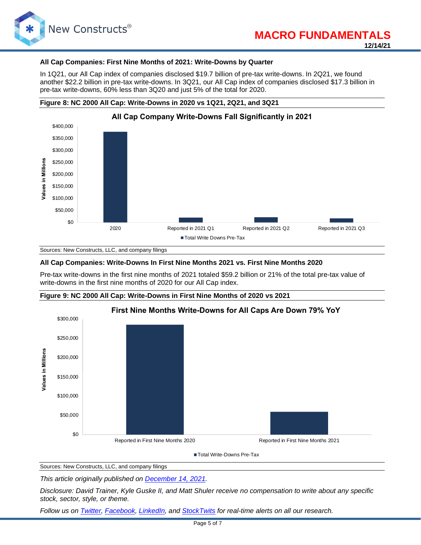

#### **All Cap Companies: First Nine Months of 2021: Write-Downs by Quarter**

In 1Q21, our All Cap index of companies disclosed \$19.7 billion of pre-tax write-downs. In 2Q21, we found another \$22.2 billion in pre-tax write-downs. In 3Q21, our All Cap index of companies disclosed \$17.3 billion in pre-tax write-downs, 60% less than 3Q20 and just 5% of the total for 2020.

#### **Figure 8: NC 2000 All Cap: Write-Downs in 2020 vs 1Q21, 2Q21, and 3Q21**



Sources: New Constructs, LLC, and company filings

#### **All Cap Companies: Write-Downs In First Nine Months 2021 vs. First Nine Months 2020**

Pre-tax write-downs in the first nine months of 2021 totaled \$59.2 billion or 21% of the total pre-tax value of write-downs in the first nine months of 2020 for our All Cap index.





■ Total Write-Downs Pre-Tax

Sources: New Constructs, LLC, and company filings

*This article originally published on [December 14, 2021.](https://www.newconstructs.com/write-downs-continue-at-record-low-pace-through-first-nine-months-of-2021/)*

*Disclosure: David Trainer, Kyle Guske II, and Matt Shuler receive no compensation to write about any specific stock, sector, style, or theme.*

*Follow us on [Twitter,](https://twitter.com/NewConstructs) [Facebook,](https://www.facebook.com/newconstructsllc/) [LinkedIn,](https://www.linkedin.com/company/new-constructs) and [StockTwits](https://stocktwits.com/dtrainer_NewConstructs) for real-time alerts on all our research.*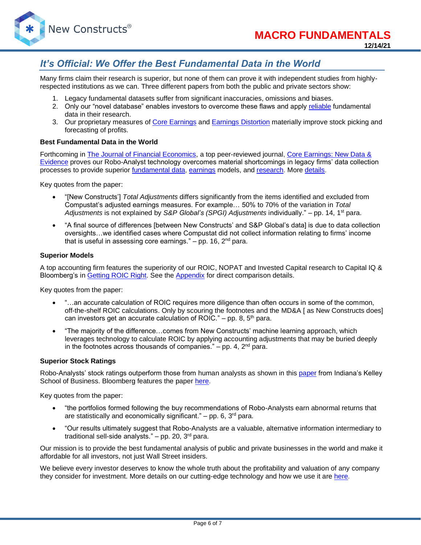

## *It's Official: We Offer the Best Fundamental Data in the World*

Many firms claim their research is superior, but none of them can prove it with independent studies from highlyrespected institutions as we can. Three different papers from both the public and private sectors show:

- 1. Legacy fundamental datasets suffer from significant inaccuracies, omissions and biases.
- 2. Only our "novel database" enables investors to overcome these flaws and apply [reliable](https://www.newconstructs.com/evidence-on-the-superiority-of-our-earnings-data/) fundamental data in their research.
- 3. Our proprietary measures of [Core Earnings](https://www.newconstructs.com/education-core-earnings-earnings-distortion/) and [Earnings Distortion](https://www.newconstructs.com/earnings-distortion-score-methodology/) materially improve stock picking and forecasting of profits.

#### **Best Fundamental Data in the World**

Forthcoming in [The Journal of Financial Economics,](http://jfe.rochester.edu/) a top peer-reviewed journal, [Core Earnings: New Data &](https://papers.ssrn.com/sol3/papers.cfm?abstract_id=3467814)  [Evidence](https://papers.ssrn.com/sol3/papers.cfm?abstract_id=3467814) proves our Robo-Analyst technology overcomes material shortcomings in legacy firms' data collection processes to provide superior [fundamental data,](https://www.newconstructs.com/data/) [earnings](https://www.newconstructs.com/education-core-earnings-earnings-distortion/) models, and [research.](https://www.newconstructs.com/blog/) More [details.](https://www.newconstructs.com/evidence-on-the-superiority-of-our-earnings-data/)

Key quotes from the paper:

- "[New Constructs'] *Total Adjustments* differs significantly from the items identified and excluded from Compustat's adjusted earnings measures. For example… 50% to 70% of the variation in *Total Adjustments* is not explained by *S&P Global's (SPGI) Adjustments* individually." – pp. 14, 1st para.
- "A final source of differences [between New Constructs' and S&P Global's data] is due to data collection oversights…we identified cases where Compustat did not collect information relating to firms' income that is useful in assessing core earnings."  $-$  pp. 16, 2<sup>nd</sup> para.

#### **Superior Models**

A top accounting firm features the superiority of our ROIC, NOPAT and Invested Capital research to Capital IQ & Bloomberg's in [Getting](https://www.newconstructs.com/getting-roic-right/) ROIC Right. See the [Appendix](https://www.newconstructs.com/wp-content/uploads/2019/06/Getting-ROIC-Right.pdf) for direct comparison details.

Key quotes from the paper:

- "...an accurate calculation of ROIC requires more diligence than often occurs in some of the common, off-the-shelf ROIC calculations. Only by scouring the footnotes and the MD&A [ as New Constructs does] can investors get an accurate calculation of ROIC." – pp. 8,  $5<sup>th</sup>$  para.
- "The majority of the difference…comes from New Constructs' machine learning approach, which leverages technology to calculate ROIC by applying accounting adjustments that may be buried deeply in the footnotes across thousands of companies."  $-$  pp. 4,  $2<sup>nd</sup>$  para.

#### **Superior Stock Ratings**

Robo-Analysts' stock ratings outperform those from human analysts as shown in this [paper](https://papers.ssrn.com/sol3/papers.cfm?abstract_id=3514879) from Indiana's Kelley School of Business. Bloomberg features the paper [here.](https://www.bloomberg.com/news/articles/2020-02-11/robot-analysts-outwit-humans-in-study-of-profit-from-stock-calls?sref=zw7RLDfe)

Key quotes from the paper:

- "the portfolios formed following the buy recommendations of Robo-Analysts earn abnormal returns that are statistically and economically significant." – pp. 6,  $3<sup>rd</sup>$  para.
- "Our results ultimately suggest that Robo-Analysts are a valuable, alternative information intermediary to traditional sell-side analysts."  $-$  pp. 20, 3<sup>rd</sup> para.

Our mission is to provide the best fundamental analysis of public and private businesses in the world and make it affordable for all investors, not just Wall Street insiders.

We believe every investor deserves to know the whole truth about the profitability and valuation of any company they consider for investment. More details on our cutting-edge technology and how we use it are [here.](https://www.youtube.com/watch?v=wRUr5w4zDVA)